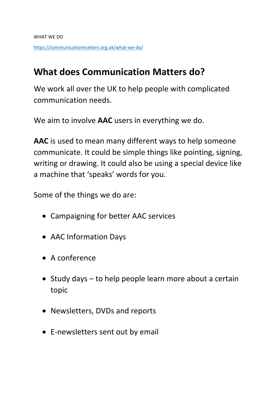## **What does Communication Matters do?**

We work all over the UK to help people with complicated communication needs.

We aim to involve **AAC** users in everything we do.

**AAC** is used to mean many different ways to help someone communicate. It could be simple things like pointing, signing, writing or drawing. It could also be using a special device like a machine that 'speaks' words for you.

Some of the things we do are:

- Campaigning for better AAC services
- AAC Information Days
- A conference
- Study days to help people learn more about a certain topic
- Newsletters, DVDs and reports
- E-newsletters sent out by email